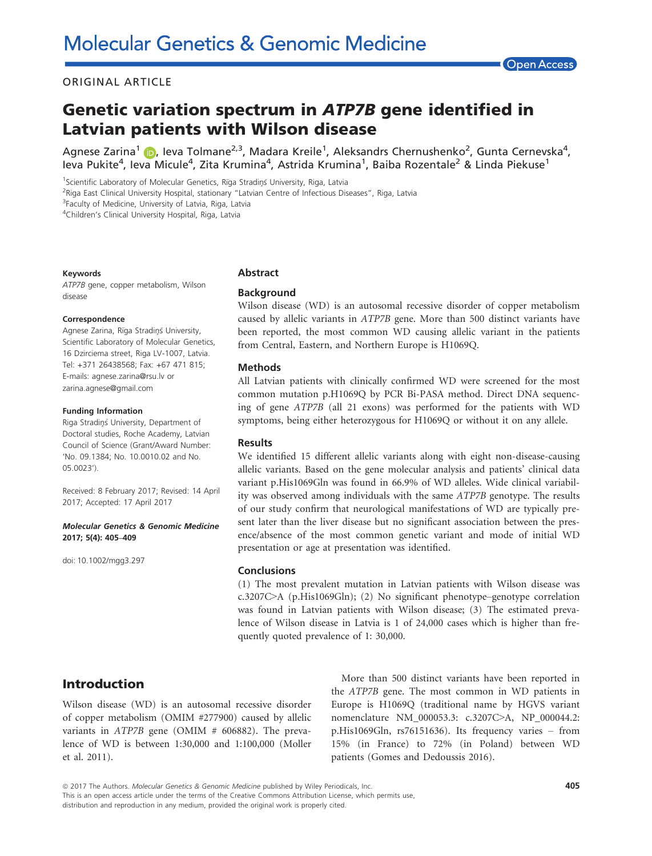### ORIGINAL ARTICLE

### **Open Access**

# Genetic variation spectrum in ATP7B gene identified in Latvian patients with Wilson disease

Agnese Zarina<sup>[1](http://orcid.org/0000-0002-0242-5796)</sup> (D), leva Tolmane<sup>2,3</sup>, Madara Kreile<sup>1</sup>, Aleksandrs Chernushenko<sup>2</sup>, Gunta Cernevska<sup>4</sup>, leva Pukite<sup>4</sup>, Ieva Micule<sup>4</sup>, Zita Krumina<sup>4</sup>, Astrida Krumina<sup>1</sup>, Baiba Rozentale<sup>2</sup> & Linda Piekuse<sup>1</sup>

<sup>1</sup>Scientific Laboratory of Molecular Genetics, Rīga Stradiņš University, Riga, Latvia

<sup>2</sup>Riga East Clinical University Hospital, stationary "Latvian Centre of Infectious Diseases", Riga, Latvia

<sup>3</sup>Faculty of Medicine, University of Latvia, Riga, Latvia

4 Children's Clinical University Hospital, Riga, Latvia

#### Keywords

ATP7B gene, copper metabolism, Wilson disease

#### Correspondence

Agnese Zarina, Rıga Stradins University, Scientific Laboratory of Molecular Genetics, 16 Dzirciema street, Riga LV-1007, Latvia. Tel: +371 26438568; Fax: +67 471 815; E-mails: agnese.zarina@rsu.lv or zarina.agnese@gmail.com

#### Funding Information

Riga Stradiņš University, Department of Doctoral studies, Roche Academy, Latvian Council of Science (Grant/Award Number: 'No. 09.1384; No. 10.0010.02 and No. 05.0023').

Received: 8 February 2017; Revised: 14 April 2017; Accepted: 17 April 2017

#### Molecular Genetics & Genomic Medicine 2017; 5(4): 405–409

doi: 10.1002/mgg3.297

#### Abstract

#### **Background**

Wilson disease (WD) is an autosomal recessive disorder of copper metabolism caused by allelic variants in ATP7B gene. More than 500 distinct variants have been reported, the most common WD causing allelic variant in the patients from Central, Eastern, and Northern Europe is H1069Q.

#### Methods

All Latvian patients with clinically confirmed WD were screened for the most common mutation p.H1069Q by PCR Bi-PASA method. Direct DNA sequencing of gene ATP7B (all 21 exons) was performed for the patients with WD symptoms, being either heterozygous for H1069Q or without it on any allele.

### Results

We identified 15 different allelic variants along with eight non-disease-causing allelic variants. Based on the gene molecular analysis and patients' clinical data variant p.His1069Gln was found in 66.9% of WD alleles. Wide clinical variability was observed among individuals with the same ATP7B genotype. The results of our study confirm that neurological manifestations of WD are typically present later than the liver disease but no significant association between the presence/absence of the most common genetic variant and mode of initial WD presentation or age at presentation was identified.

#### **Conclusions**

(1) The most prevalent mutation in Latvian patients with Wilson disease was c.3207C>A (p.His1069Gln); (2) No significant phenotype–genotype correlation was found in Latvian patients with Wilson disease; (3) The estimated prevalence of Wilson disease in Latvia is 1 of 24,000 cases which is higher than frequently quoted prevalence of 1: 30,000.

## Introduction

Wilson disease (WD) is an autosomal recessive disorder of copper metabolism (OMIM #277900) caused by allelic variants in ATP7B gene (OMIM # 606882). The prevalence of WD is between 1:30,000 and 1:100,000 (Moller et al. 2011).

More than 500 distinct variants have been reported in the ATP7B gene. The most common in WD patients in Europe is H1069Q (traditional name by HGVS variant nomenclature [NM\\_000053.3](http://www.ncbi.nlm.nih.gov/nuccore/NM_000053.3): c.3207C>A, [NP\\_000044.2](http://www.ncbi.nlm.nih.gov/nuccore/NP_000044.2): p.His1069Gln, rs76151636). Its frequency varies – from 15% (in France) to 72% (in Poland) between WD patients (Gomes and Dedoussis 2016).

ª 2017 The Authors. Molecular Genetics & Genomic Medicine published by Wiley Periodicals, Inc. This is an open access article under the terms of the [Creative Commons Attribution](http://creativecommons.org/licenses/by/4.0/) License, which permits use,

distribution and reproduction in any medium, provided the original work is properly cited.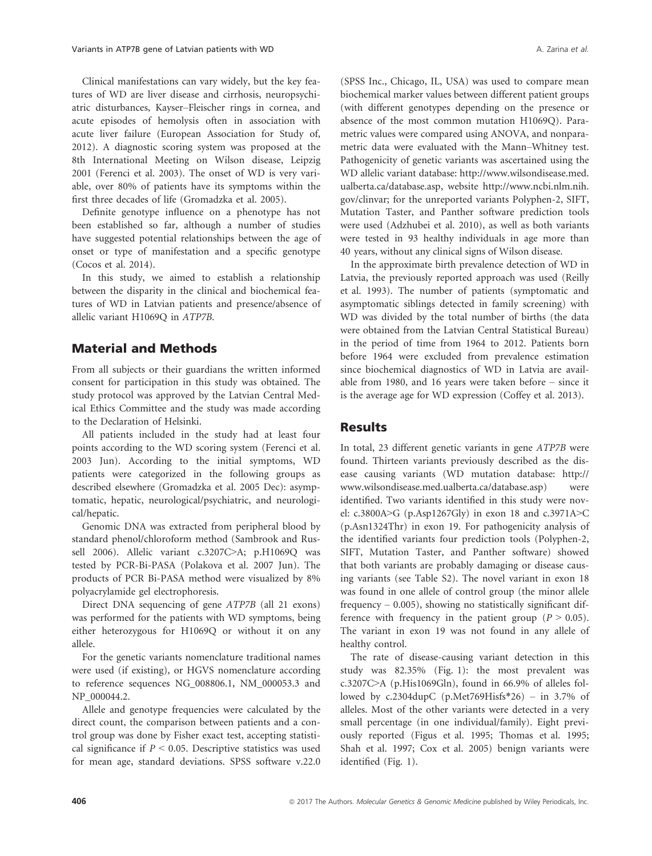Clinical manifestations can vary widely, but the key features of WD are liver disease and cirrhosis, neuropsychiatric disturbances, Kayser–Fleischer rings in cornea, and acute episodes of hemolysis often in association with acute liver failure (European Association for Study of, 2012). A diagnostic scoring system was proposed at the 8th International Meeting on Wilson disease, Leipzig 2001 (Ferenci et al. 2003). The onset of WD is very variable, over 80% of patients have its symptoms within the first three decades of life (Gromadzka et al. 2005).

Definite genotype influence on a phenotype has not been established so far, although a number of studies have suggested potential relationships between the age of onset or type of manifestation and a specific genotype (Cocos et al. 2014).

In this study, we aimed to establish a relationship between the disparity in the clinical and biochemical features of WD in Latvian patients and presence/absence of allelic variant H1069Q in ATP7B.

# Material and Methods

From all subjects or their guardians the written informed consent for participation in this study was obtained. The study protocol was approved by the Latvian Central Medical Ethics Committee and the study was made according to the Declaration of Helsinki.

All patients included in the study had at least four points according to the WD scoring system (Ferenci et al. 2003 Jun). According to the initial symptoms, WD patients were categorized in the following groups as described elsewhere (Gromadzka et al. 2005 Dec): asymptomatic, hepatic, neurological/psychiatric, and neurological/hepatic.

Genomic DNA was extracted from peripheral blood by standard phenol/chloroform method (Sambrook and Russell 2006). Allelic variant c.3207C>A; p.H1069Q was tested by PCR-Bi-PASA (Polakova et al. 2007 Jun). The products of PCR Bi-PASA method were visualized by 8% polyacrylamide gel electrophoresis.

Direct DNA sequencing of gene ATP7B (all 21 exons) was performed for the patients with WD symptoms, being either heterozygous for H1069Q or without it on any allele.

For the genetic variants nomenclature traditional names were used (if existing), or HGVS nomenclature according to reference sequences [NG\\_008806.1](http://www.ncbi.nlm.nih.gov/nuccore/NG_008806.1), [NM\\_000053.3](http://www.ncbi.nlm.nih.gov/nuccore/NM_000053.3) and [NP\\_000044.2.](http://www.ncbi.nlm.nih.gov/nuccore/NP_000044.2)

Allele and genotype frequencies were calculated by the direct count, the comparison between patients and a control group was done by Fisher exact test, accepting statistical significance if  $P < 0.05$ . Descriptive statistics was used for mean age, standard deviations. SPSS software v.22.0 (SPSS Inc., Chicago, IL, USA) was used to compare mean biochemical marker values between different patient groups (with different genotypes depending on the presence or absence of the most common mutation H1069Q). Parametric values were compared using ANOVA, and nonparametric data were evaluated with the Mann–Whitney test. Pathogenicity of genetic variants was ascertained using the WD allelic variant database: [http://www.wilsondisease.med.](http://www.wilsondisease.med.ualberta.ca/database.asp) [ualberta.ca/database.asp,](http://www.wilsondisease.med.ualberta.ca/database.asp) website [http://www.ncbi.nlm.nih.](http://www.ncbi.nlm.nih.gov/clinvar) [gov/clinvar](http://www.ncbi.nlm.nih.gov/clinvar); for the unreported variants Polyphen-2, SIFT, Mutation Taster, and Panther software prediction tools were used (Adzhubei et al. 2010), as well as both variants were tested in 93 healthy individuals in age more than 40 years, without any clinical signs of Wilson disease.

In the approximate birth prevalence detection of WD in Latvia, the previously reported approach was used (Reilly et al. 1993). The number of patients (symptomatic and asymptomatic siblings detected in family screening) with WD was divided by the total number of births (the data were obtained from the Latvian Central Statistical Bureau) in the period of time from 1964 to 2012. Patients born before 1964 were excluded from prevalence estimation since biochemical diagnostics of WD in Latvia are available from 1980, and 16 years were taken before – since it is the average age for WD expression (Coffey et al. 2013).

### **Results**

In total, 23 different genetic variants in gene ATP7B were found. Thirteen variants previously described as the disease causing variants (WD mutation database: [http://](http://www.wilsondisease.med.ualberta.ca/database.asp) [www.wilsondisease.med.ualberta.ca/database.asp](http://www.wilsondisease.med.ualberta.ca/database.asp)) were identified. Two variants identified in this study were novel: c.3800A>G (p.Asp1267Gly) in exon 18 and c.3971A>C (p.Asn1324Thr) in exon 19. For pathogenicity analysis of the identified variants four prediction tools (Polyphen-2, SIFT, Mutation Taster, and Panther software) showed that both variants are probably damaging or disease causing variants (see Table S2). The novel variant in exon 18 was found in one allele of control group (the minor allele frequency  $-$  0.005), showing no statistically significant difference with frequency in the patient group ( $P > 0.05$ ). The variant in exon 19 was not found in any allele of healthy control.

The rate of disease-causing variant detection in this study was 82.35% (Fig. 1): the most prevalent was c.3207C>A (p.His1069Gln), found in 66.9% of alleles followed by c.2304dupC (p.Met769Hisfs\*26) – in 3.7% of alleles. Most of the other variants were detected in a very small percentage (in one individual/family). Eight previously reported (Figus et al. 1995; Thomas et al. 1995; Shah et al. 1997; Cox et al. 2005) benign variants were identified (Fig. 1).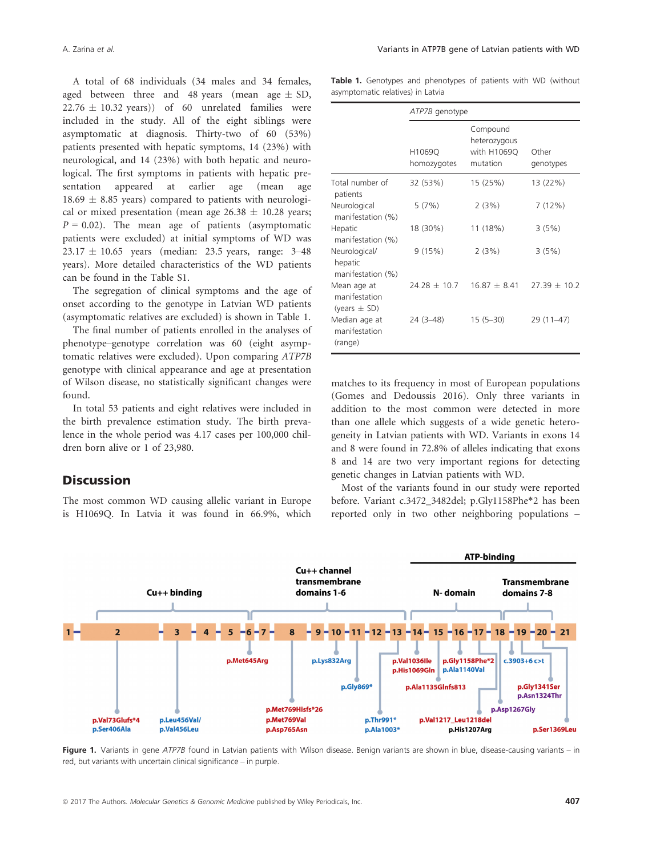A total of 68 individuals (34 males and 34 females, aged between three and 48 years (mean age  $\pm$  SD,  $22.76 \pm 10.32$  years)) of 60 unrelated families were included in the study. All of the eight siblings were asymptomatic at diagnosis. Thirty-two of 60 (53%) patients presented with hepatic symptoms, 14 (23%) with neurological, and 14 (23%) with both hepatic and neurological. The first symptoms in patients with hepatic presentation appeared at earlier age (mean age  $18.69 \pm 8.85$  years) compared to patients with neurological or mixed presentation (mean age  $26.38 \pm 10.28$  years;  $P = 0.02$ ). The mean age of patients (asymptomatic patients were excluded) at initial symptoms of WD was  $23.17 \pm 10.65$  years (median: 23.5 years, range: 3-48 years). More detailed characteristics of the WD patients can be found in the Table S1.

The segregation of clinical symptoms and the age of onset according to the genotype in Latvian WD patients (asymptomatic relatives are excluded) is shown in Table 1.

The final number of patients enrolled in the analyses of phenotype–genotype correlation was 60 (eight asymptomatic relatives were excluded). Upon comparing ATP7B genotype with clinical appearance and age at presentation of Wilson disease, no statistically significant changes were found.

In total 53 patients and eight relatives were included in the birth prevalence estimation study. The birth prevalence in the whole period was 4.17 cases per 100,000 children born alive or 1 of 23,980.

### **Discussion**

The most common WD causing allelic variant in Europe is H1069Q. In Latvia it was found in 66.9%, which

Table 1. Genotypes and phenotypes of patients with WD (without asymptomatic relatives) in Latvia

|                                               | ATP7B genotype        |                                                     |                    |
|-----------------------------------------------|-----------------------|-----------------------------------------------------|--------------------|
|                                               | H1069Q<br>homozygotes | Compound<br>heterozygous<br>with H1069Q<br>mutation | Other<br>genotypes |
| Total number of<br>patients                   | 32 (53%)              | 15 (25%)                                            | 13 (22%)           |
| Neurological<br>manifestation (%)             | 5(7%)                 | 2(3%)                                               | 7(12%)             |
| Hepatic<br>manifestation (%)                  | 18 (30%)              | 11 (18%)                                            | 3(5%)              |
| Neurological/<br>hepatic<br>manifestation (%) | 9(15%)                | 2(3%)                                               | 3(5%)              |
| Mean age at<br>manifestation<br>(years ± SD)  | $24.28 + 10.7$        | $1687 + 841$                                        | $27.39 + 10.2$     |
| Median age at<br>manifestation<br>(range)     | $24(3-48)$            | $15(5-30)$                                          | 29 (11-47)         |

matches to its frequency in most of European populations (Gomes and Dedoussis 2016). Only three variants in addition to the most common were detected in more than one allele which suggests of a wide genetic heterogeneity in Latvian patients with WD. Variants in exons 14 and 8 were found in 72.8% of alleles indicating that exons 8 and 14 are two very important regions for detecting genetic changes in Latvian patients with WD.

Most of the variants found in our study were reported before. Variant c.3472\_3482del; p.Gly1158Phe\*2 has been reported only in two other neighboring populations –



Figure 1. Variants in gene ATP7B found in Latvian patients with Wilson disease. Benign variants are shown in blue, disease-causing variants – in red, but variants with uncertain clinical significance – in purple.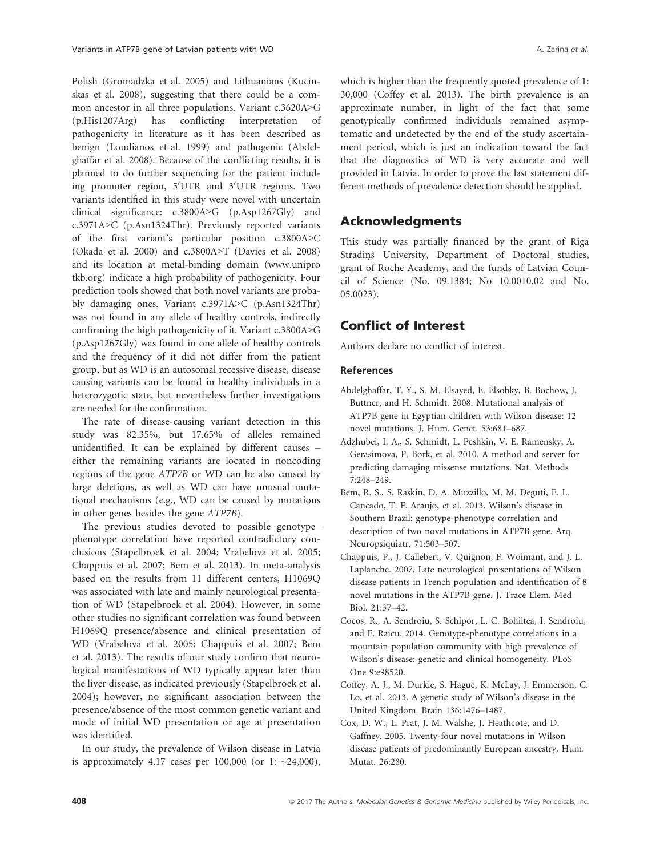Polish (Gromadzka et al. 2005) and Lithuanians (Kucinskas et al. 2008), suggesting that there could be a common ancestor in all three populations. Variant c.3620A>G (p.His1207Arg) has conflicting interpretation of pathogenicity in literature as it has been described as benign (Loudianos et al. 1999) and pathogenic (Abdelghaffar et al. 2008). Because of the conflicting results, it is planned to do further sequencing for the patient including promoter region, 5'UTR and 3'UTR regions. Two variants identified in this study were novel with uncertain clinical significance: c.3800A>G (p.Asp1267Gly) and c.3971A>C (p.Asn1324Thr). Previously reported variants of the first variant's particular position c.3800A>C (Okada et al. 2000) and c.3800A>T (Davies et al. 2008) and its location at metal-binding domain [\(www.unipro](http://www.uniprotkb.org) [tkb.org\)](http://www.uniprotkb.org) indicate a high probability of pathogenicity. Four prediction tools showed that both novel variants are probably damaging ones. Variant c.3971A>C (p.Asn1324Thr) was not found in any allele of healthy controls, indirectly confirming the high pathogenicity of it. Variant c.3800A>G (p.Asp1267Gly) was found in one allele of healthy controls and the frequency of it did not differ from the patient group, but as WD is an autosomal recessive disease, disease causing variants can be found in healthy individuals in a heterozygotic state, but nevertheless further investigations are needed for the confirmation.

The rate of disease-causing variant detection in this study was 82.35%, but 17.65% of alleles remained unidentified. It can be explained by different causes – either the remaining variants are located in noncoding regions of the gene ATP7B or WD can be also caused by large deletions, as well as WD can have unusual mutational mechanisms (e.g., WD can be caused by mutations in other genes besides the gene ATP7B).

The previous studies devoted to possible genotype– phenotype correlation have reported contradictory conclusions (Stapelbroek et al. 2004; Vrabelova et al. 2005; Chappuis et al. 2007; Bem et al. 2013). In meta-analysis based on the results from 11 different centers, H1069Q was associated with late and mainly neurological presentation of WD (Stapelbroek et al. 2004). However, in some other studies no significant correlation was found between H1069Q presence/absence and clinical presentation of WD (Vrabelova et al. 2005; Chappuis et al. 2007; Bem et al. 2013). The results of our study confirm that neurological manifestations of WD typically appear later than the liver disease, as indicated previously (Stapelbroek et al. 2004); however, no significant association between the presence/absence of the most common genetic variant and mode of initial WD presentation or age at presentation was identified.

In our study, the prevalence of Wilson disease in Latvia is approximately 4.17 cases per 100,000 (or 1: ~24,000), which is higher than the frequently quoted prevalence of 1: 30,000 (Coffey et al. 2013). The birth prevalence is an approximate number, in light of the fact that some genotypically confirmed individuals remained asymptomatic and undetected by the end of the study ascertainment period, which is just an indication toward the fact that the diagnostics of WD is very accurate and well provided in Latvia. In order to prove the last statement different methods of prevalence detection should be applied.

# Acknowledgments

This study was partially financed by the grant of Riga Stradins University, Department of Doctoral studies, grant of Roche Academy, and the funds of Latvian Council of Science (No. 09.1384; No 10.0010.02 and No. 05.0023).

# Conflict of Interest

Authors declare no conflict of interest.

### References

- Abdelghaffar, T. Y., S. M. Elsayed, E. Elsobky, B. Bochow, J. Buttner, and H. Schmidt. 2008. Mutational analysis of ATP7B gene in Egyptian children with Wilson disease: 12 novel mutations. J. Hum. Genet. 53:681–687.
- Adzhubei, I. A., S. Schmidt, L. Peshkin, V. E. Ramensky, A. Gerasimova, P. Bork, et al. 2010. A method and server for predicting damaging missense mutations. Nat. Methods 7:248–249.
- Bem, R. S., S. Raskin, D. A. Muzzillo, M. M. Deguti, E. L. Cancado, T. F. Araujo, et al. 2013. Wilson's disease in Southern Brazil: genotype-phenotype correlation and description of two novel mutations in ATP7B gene. Arq. Neuropsiquiatr. 71:503–507.
- Chappuis, P., J. Callebert, V. Quignon, F. Woimant, and J. L. Laplanche. 2007. Late neurological presentations of Wilson disease patients in French population and identification of 8 novel mutations in the ATP7B gene. J. Trace Elem. Med Biol. 21:37–42.
- Cocos, R., A. Sendroiu, S. Schipor, L. C. Bohiltea, I. Sendroiu, and F. Raicu. 2014. Genotype-phenotype correlations in a mountain population community with high prevalence of Wilson's disease: genetic and clinical homogeneity. PLoS One 9:e98520.
- Coffey, A. J., M. Durkie, S. Hague, K. McLay, J. Emmerson, C. Lo, et al. 2013. A genetic study of Wilson's disease in the United Kingdom. Brain 136:1476–1487.
- Cox, D. W., L. Prat, J. M. Walshe, J. Heathcote, and D. Gaffney. 2005. Twenty-four novel mutations in Wilson disease patients of predominantly European ancestry. Hum. Mutat. 26:280.